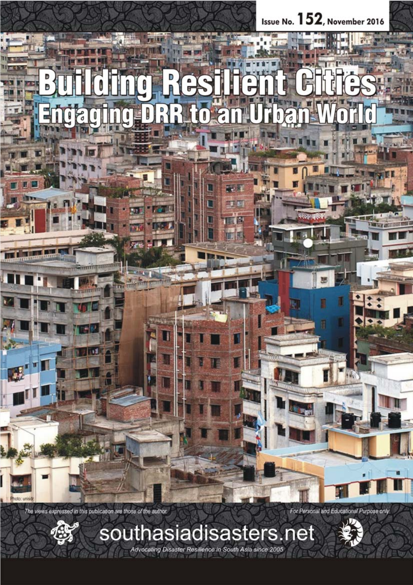

The views expressed in this publication are those of the author.



Advocating Disaster Resilience in South Asia since 2005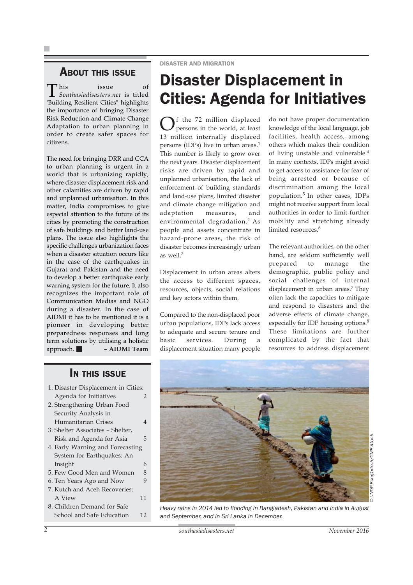### ABOUT THIS ISSUE

This issue of *Southasiadisasters.net* is titled 'Building Resilient Cities" highlights the importance of bringing Disaster Risk Reduction and Climate Change Adaptation to urban planning in order to create safer spaces for citizens.

The need for bringing DRR and CCA to urban planning is urgent in a world that is urbanizing rapidly, where disaster displacement risk and other calamities are driven by rapid and unplanned urbanisation. In this matter, India compromises to give especial attention to the future of its cities by promoting the construction of safe buildings and better land-use plans. The issue also highlights the specific challenges urbanization faces when a disaster situation occurs like in the case of the earthquakes in Gujarat and Pakistan and the need to develop a better earthquake early warning system for the future. It also recognizes the important role of Communication Medias and NGO during a disaster. In the case of AIDMI it has to be mentioned it is a pioneer in developing better preparedness responses and long term solutions by utilising a holistic approach. **– AIDMI Team**

### IN THIS ISSUE

- 1. Disaster Displacement in Cities: Agenda for Initiatives 2
- 2. Strengthening Urban Food Security Analysis in Humanitarian Crises 4
- 3. Shelter Associates Shelter, Risk and Agenda for Asia 5
- 4. Early Warning and Forecasting System for Earthquakes: An Insight 6
- 5. Few Good Men and Women 8
- 6. Ten Years Ago and Now 9
- 7. Kutch and Aceh Recoveries: A View 11
- 8. Children Demand for Safe School and Safe Education 12

# Disaster Displacement in Cities: Agenda for Initiatives

 $\bigcap$ f the 72 million displaced persons in the world, at least 13 million internally displaced persons (IDPs) live in urban areas.<sup>1</sup> This number is likely to grow over the next years. Disaster displacement risks are driven by rapid and unplanned urbanisation, the lack of enforcement of building standards and land-use plans, limited disaster and climate change mitigation and adaptation measures, and environmental degradation.2 As people and assets concentrate in hazard-prone areas, the risk of disaster becomes increasingly urban as well.3

Displacement in urban areas alters the access to different spaces, resources, objects, social relations and key actors within them.

Compared to the non-displaced poor urban populations, IDPs lack access to adequate and secure tenure and basic services. During a displacement situation many people

do not have proper documentation knowledge of the local language, job facilities, health access, among others which makes their condition of living unstable and vulnerable.<sup>4</sup> In many contexts, IDPs might avoid to get access to assistance for fear of being arrested or because of discrimination among the local population.5 In other cases, IDPs might not receive support from local authorities in order to limit further mobility and stretching already limited resources.<sup>6</sup>

The relevant authorities, on the other hand, are seldom sufficiently well prepared to manage the demographic, public policy and social challenges of internal displacement in urban areas.<sup>7</sup> They often lack the capacities to mitigate and respond to disasters and the adverse effects of climate change, especially for IDP housing options.8 These limitations are further complicated by the fact that resources to address displacement



*Heavy rains in 2014 led to flooding in Bangladesh, Pakistan and India in August and September, and in Sri Lanka in December.*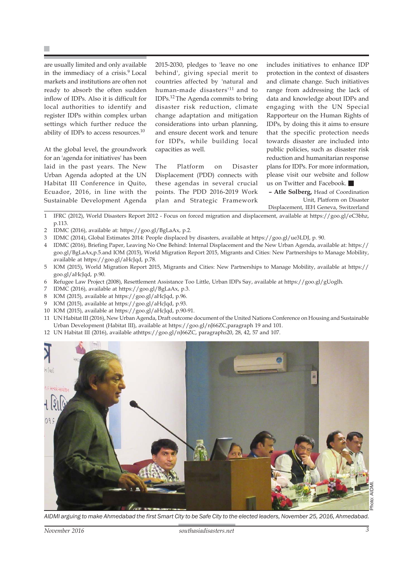P.

are usually limited and only available in the immediacy of a crisis.<sup>9</sup> Local markets and institutions are often not ready to absorb the often sudden inflow of IDPs. Also it is difficult for local authorities to identify and register IDPs within complex urban settings which further reduce the ability of IDPs to access resources.10

At the global level, the groundwork for an 'agenda for initiatives' has been laid in the past years. The New Urban Agenda adopted at the UN Habitat III Conference in Quito, Ecuador, 2016, in line with the Sustainable Development Agenda

2015-2030, pledges to 'leave no one behind', giving special merit to countries affected by 'natural and human-made disasters'11 and to IDPs.12 The Agenda commits to bring disaster risk reduction, climate change adaptation and mitigation considerations into urban planning, and ensure decent work and tenure for IDPs, while building local capacities as well.

The Platform on Disaster Displacement (PDD) connects with these agendas in several crucial points. The PDD 2016-2019 Work plan and Strategic Framework

includes initiatives to enhance IDP protection in the context of disasters and climate change. Such initiatives range from addressing the lack of data and knowledge about IDPs and engaging with the UN Special Rapporteur on the Human Rights of IDPs, by doing this it aims to ensure that the specific protection needs towards disaster are included into public policies, such as disaster risk reduction and humanitarian response plans for IDPs. For more information, please visit our website and follow us on Twitter and Facebook.

**– Atle Solberg,** Head of Coordination Unit, Platform on Disaster

Displacement, IEH Geneva, Switzerland

1 IFRC (2012), World Disasters Report 2012 - Focus on forced migration and displacement, available at https://goo.gl/eC3bhz, p.113.

- 2 IDMC (2016), available at: https://goo.gl/BgLaAx, p.2.
- 3 IDMC (2014), Global Estimates 2014: People displaced by disasters, available at https://goo.gl/ue3LDJ, p. 90.
- 4 IDMC (2016), Briefing Paper, Leaving No One Behind: Internal Displacement and the New Urban Agenda, available at: https:// goo.gl/BgLaAx,p.5.and IOM (2015), World Migration Report 2015, Migrants and Cities: New Partnerships to Manage Mobility, available at https://goo.gl/aHcJqd, p.78.
- 5 IOM (2015), World Migration Report 2015, Migrants and Cities: New Partnerships to Manage Mobility, available at https:// goo.gl/aHcJqd, p.90.
- 6 Refugee Law Project (2008), Resettlement Assistance Too Little, Urban IDPs Say, available at https://goo.gl/gUoglh.
- IDMC (2016), available at https://goo.gl/BgLaAx, p.3.
- 8 IOM (2015), available at https://goo.gl/aHcJqd, p.96.
- 9 IOM (2015), available at https://goo.gl/aHcJqd, p.93.
- 10 IOM (2015), available at https://goo.gl/aHcJqd, p.90-91.
- 11 UN Habitat III (2016), New Urban Agenda, Draft outcome document of the United Nations Conference on Housing and Sustainable Urban Development (Habitat III), available at https://goo.gl/nJ66ZC,paragraph 19 and 101.
- 12 UN Habitat III (2016), available athttps://goo.gl/nJ66ZC, paragraphs20, 28, 42, 57 and 107.



*AIDMI arguing to make Ahmedabad the first Smart City to be Safe City to the elected leaders, November 25, 2016, Ahmedabad.*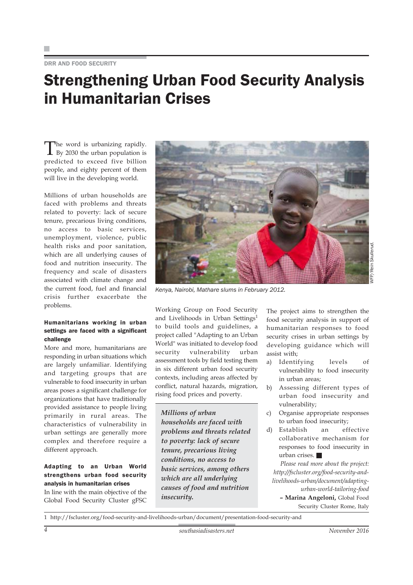DRR AND FOOD SECURITY

### Strengthening Urban Food Security Analysis in Humanitarian Crises

The word is urbanizing rapidly.<br>By 2030 the urban population is predicted to exceed five billion people, and eighty percent of them will live in the developing world.

Millions of urban households are faced with problems and threats related to poverty: lack of secure tenure, precarious living conditions, no access to basic services, unemployment, violence, public health risks and poor sanitation, which are all underlying causes of food and nutrition insecurity. The frequency and scale of disasters associated with climate change and the current food, fuel and financial crisis further exacerbate the problems.

#### Humanitarians working in urban settings are faced with a significant challenge

More and more, humanitarians are responding in urban situations which are largely unfamiliar. Identifying and targeting groups that are vulnerable to food insecurity in urban areas poses a significant challenge for organizations that have traditionally provided assistance to people living primarily in rural areas. The characteristics of vulnerability in urban settings are generally more complex and therefore require a different approach.

#### Adapting to an Urban World strengthens urban food security analysis in humanitarian crises

In line with the main objective of the Global Food Security Cluster gFSC



*Kenya, Nairobi, Mathare slums in February 2012.*

Working Group on Food Security and Livelihoods in Urban Settings<sup>1</sup> to build tools and guidelines, a project called "Adapting to an Urban World" was initiated to develop food security vulnerability urban assessment tools by field testing them in six different urban food security contexts, including areas affected by conflict, natural hazards, migration, rising food prices and poverty.

*Millions of urban households are faced with problems and threats related to poverty: lack of secure tenure, precarious living conditions, no access to basic services, among others which are all underlying causes of food and nutrition insecurity.*

The project aims to strengthen the food security analysis in support of humanitarian responses to food security crises in urban settings by developing guidance which will assist with;

- a) Identifying levels of vulnerability to food insecurity in urban areas;
- b) Assessing different types of urban food insecurity and vulnerability;
- c) Organise appropriate responses to urban food insecurity;
- d) Establish an effective collaborative mechanism for responses to food insecurity in urban crises.

*Please read more about the project: http://fscluster.org/food-security-andlivelihoods-urban/document/adaptingurban-world-tailoring-food* **– Marina Angeloni,** Global Food

Security Cluster Rome, Italy

1 http://fscluster.org/food-security-and-livelihoods-urban/document/presentation-food-security-and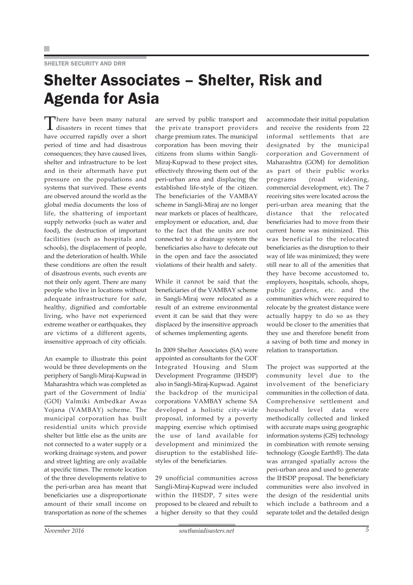#### SHELTER SECURITY AND DRR

### Shelter Associates – Shelter, Risk and Agenda for Asia

There have been many natural disasters in recent times that have occurred rapidly over a short period of time and had disastrous consequences; they have caused lives, shelter and infrastructure to be lost and in their aftermath have put pressure on the populations and systems that survived. These events are observed around the world as the global media documents the loss of life, the shattering of important supply networks (such as water and food), the destruction of important facilities (such as hospitals and schools), the displacement of people, and the deterioration of health. While these conditions are often the result of disastrous events, such events are not their only agent. There are many people who live in locations without adequate infrastructure for safe, healthy, dignified and comfortable living, who have not experienced extreme weather or earthquakes, they are victims of a different agents, insensitive approach of city officials.

An example to illustrate this point would be three developments on the periphery of Sangli-Miraj-Kupwad in Maharashtra which was completed as part of the Government of India' (GOI) Valmiki Ambedkar Awas Yojana (VAMBAY) scheme. The municipal corporation has built residential units which provide shelter but little else as the units are not connected to a water supply or a working drainage system, and power and street lighting are only available at specific times. The remote location of the three developments relative to the peri-urban area has meant that beneficiaries use a disproportionate amount of their small income on transportation as none of the schemes are served by public transport and the private transport providers charge premium rates. The municipal corporation has been moving their citizens from slums within Sangli-Miraj-Kupwad to these project sites, effectively throwing them out of the peri-urban area and displacing the established life-style of the citizen. The beneficiaries of the VAMBAY scheme in Sangli-Miraj are no longer near markets or places of healthcare, employment or education, and, due to the fact that the units are not connected to a drainage system the beneficiaries also have to defecate out in the open and face the associated violations of their health and safety.

While it cannot be said that the beneficiaries of the VAMBAY scheme in Sangli-Miraj were relocated as a result of an extreme environmental event it can be said that they were displaced by the insensitive approach of schemes implementing agents.

In 2009 Shelter Associates (SA) were appointed as consultants for the GOI' Integrated Housing and Slum Development Programme (IHSDP) also in Sangli-Miraj-Kupwad. Against the backdrop of the municipal corporations VAMBAY scheme SA developed a holistic city-wide proposal, informed by a poverty mapping exercise which optimised the use of land available for development and minimized the disruption to the established lifestyles of the beneficiaries.

29 unofficial communities across Sangli-Miraj-Kupwad were included within the IHSDP, 7 sites were proposed to be cleared and rebuilt to a higher density so that they could

accommodate their initial population and receive the residents from 22 informal settlements that are designated by the municipal corporation and Government of Maharashtra (GOM) for demolition as part of their public works programs (road widening, commercial development, etc). The 7 receiving sites were located across the peri-urban area meaning that the distance that the relocated beneficiaries had to move from their current home was minimized. This was beneficial to the relocated beneficiaries as the disruption to their way of life was minimized; they were still near to all of the amenities that they have become accustomed to, employers, hospitals, schools, shops, public gardens, etc. and the communities which were required to relocate by the greatest distance were actually happy to do so as they would be closer to the amenities that they use and therefore benefit from a saving of both time and money in relation to transportation.

The project was supported at the community level due to the involvement of the beneficiary communities in the collection of data. Comprehensive settlement and household level data were methodically collected and linked with accurate maps using geographic information systems (GIS) technology in combination with remote sensing technology (Google Earth®). The data was arranged spatially across the peri-urban area and used to generate the IHSDP proposal. The beneficiary communities were also involved in the design of the residential units which include a bathroom and a separate toilet and the detailed design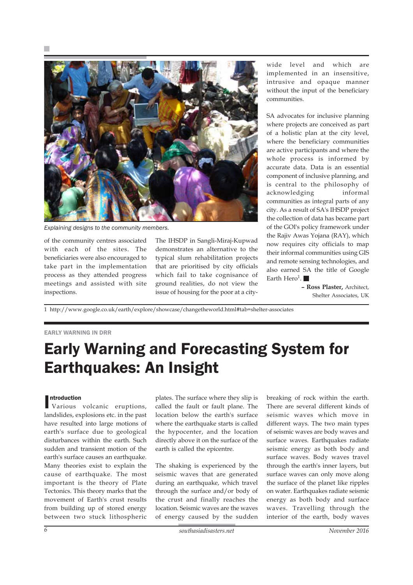

*Explaining designs to the community members.*

of the community centres associated with each of the sites. The beneficiaries were also encouraged to take part in the implementation process as they attended progress meetings and assisted with site inspections.

The IHSDP in Sangli-Miraj-Kupwad demonstrates an alternative to the typical slum rehabilitation projects that are prioritised by city officials which fail to take cognisance of ground realities, do not view the issue of housing for the poor at a city-

wide level and which are implemented in an insensitive, intrusive and opaque manner without the input of the beneficiary communities.

SA advocates for inclusive planning where projects are conceived as part of a holistic plan at the city level, where the beneficiary communities are active participants and where the whole process is informed by accurate data. Data is an essential component of inclusive planning, and is central to the philosophy of acknowledging informal communities as integral parts of any city. As a result of SA's IHSDP project the collection of data has became part of the GOI's policy framework under the Rajiv Awas Yojana (RAY), which now requires city officials to map their informal communities using GIS and remote sensing technologies, and also earned SA the title of Google Earth Hero<sup>1</sup>.

> **– Ross Plaster,** Architect, Shelter Associates, UK

1 http://www.google.co.uk/earth/explore/showcase/changetheworld.html#tab=shelter-associates

#### EARLY WARNING IN DRR

### Early Warning and Forecasting System for Earthquakes: An Insight

#### ntroduction

I Various volcanic eruptions, landslides, explosions etc. in the past have resulted into large motions of earth's surface due to geological disturbances within the earth. Such sudden and transient motion of the earth's surface causes an earthquake. Many theories exist to explain the cause of earthquake. The most important is the theory of Plate Tectonics. This theory marks that the movement of Earth's crust results from building up of stored energy between two stuck lithospheric

plates. The surface where they slip is called the fault or fault plane. The location below the earth's surface where the earthquake starts is called the hypocenter, and the location directly above it on the surface of the earth is called the epicentre.

The shaking is experienced by the seismic waves that are generated during an earthquake, which travel through the surface and/or body of the crust and finally reaches the location. Seismic waves are the waves of energy caused by the sudden

breaking of rock within the earth. There are several different kinds of seismic waves which move in different ways. The two main types of seismic waves are body waves and surface waves. Earthquakes radiate seismic energy as both body and surface waves. Body waves travel through the earth's inner layers, but surface waves can only move along the surface of the planet like ripples on water. Earthquakes radiate seismic energy as both body and surface waves. Travelling through the interior of the earth, body waves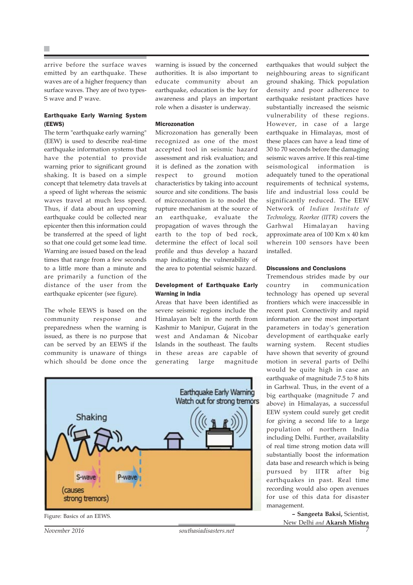arrive before the surface waves emitted by an earthquake. These waves are of a higher frequency than surface waves. They are of two types-S wave and P wave.

#### Earthquake Early Warning System (EEWS)

The term "earthquake early warning" (EEW) is used to describe real-time earthquake information systems that have the potential to provide warning prior to significant ground shaking. It is based on a simple concept that telemetry data travels at a speed of light whereas the seismic waves travel at much less speed. Thus, if data about an upcoming earthquake could be collected near epicenter then this information could be transferred at the speed of light so that one could get some lead time. Warning are issued based on the lead times that range from a few seconds to a little more than a minute and are primarily a function of the distance of the user from the earthquake epicenter (see figure).

The whole EEWS is based on the community response and preparedness when the warning is issued, as there is no purpose that can be served by an EEWS if the community is unaware of things which should be done once the warning is issued by the concerned authorities. It is also important to educate community about an earthquake, education is the key for awareness and plays an important role when a disaster is underway.

#### Microzonation

Microzonation has generally been recognized as one of the most accepted tool in seismic hazard assessment and risk evaluation; and it is defined as the zonation with respect to ground motion characteristics by taking into account source and site conditions. The basis of microzonation is to model the rupture mechanism at the source of an earthquake, evaluate the propagation of waves through the earth to the top of bed rock, determine the effect of local soil profile and thus develop a hazard map indicating the vulnerability of the area to potential seismic hazard.

#### Development of Earthquake Early Warning in India

Areas that have been identified as severe seismic regions include the Himalayan belt in the north from Kashmir to Manipur, Gujarat in the west and Andaman & Nicobar Islands in the southeast. The faults in these areas are capable of generating large magnitude





earthquakes that would subject the neighbouring areas to significant ground shaking. Thick population density and poor adherence to earthquake resistant practices have substantially increased the seismic vulnerability of these regions. However, in case of a large earthquake in Himalayas, most of these places can have a lead time of 30 to 70 seconds before the damaging seismic waves arrive. If this real-time seismological information is adequately tuned to the operational requirements of technical systems, life and industrial loss could be significantly reduced. The EEW Network of *Indian Institute of Technology, Roorkee (IITR)* covers the Garhwal Himalayan having approximate area of 100 Km x 40 km wherein 100 sensors have been installed.

#### Discussions and Conclusions

Tremendous strides made by our country in communication technology has opened up several frontiers which were inaccessible in recent past. Connectivity and rapid information are the most important parameters in today's generation development of earthquake early warning system. Recent studies have shown that severity of ground motion in several parts of Delhi would be quite high in case an earthquake of magnitude 7.5 to 8 hits in Garhwal. Thus, in the event of a big earthquake (magnitude 7 and above) in Himalayas, a successful EEW system could surely get credit for giving a second life to a large population of northern India including Delhi. Further, availability of real time strong motion data will substantially boost the information data base and research which is being pursued by IITR after big earthquakes in past. Real time recording would also open avenues for use of this data for disaster management.

> **– Sangeeta Baksi,** Scientist, New Delhi *and* **Akarsh Mishra**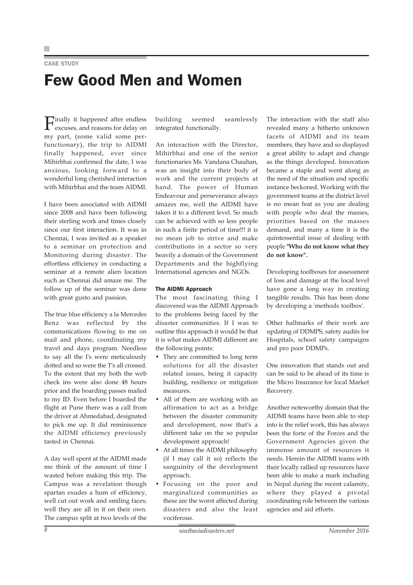CASE STUDY

# Few Good Men and Women

Finally it happened after endless excuses, and reasons for delay on my part, (some valid some perfunctionary), the trip to AIDMI finally happened, ever since Mihirbhai confirmed the date, I was anxious, looking forward to a wonderful long cherished interaction with Mihirbhai and the team AIDMI.

I have been associated with AIDMI since 2008 and have been following their sterling work and times closely since our first interaction. It was in Chennai, I was invited as a speaker to a seminar on protection and Monitoring during disaster. The effortless efficiency in conducting a seminar at a remote alien location such as Chennai did amaze me. The follow up of the seminar was done with great gusto and passion.

The true blue efficiency a la Mercedes Benz was reflected by the communications flowing to me on mail and phone, coordinating my travel and days program. Needless to say all the I's were meticulously dotted and so were the T's all crossed. To the extent that my both the web check ins were also done 48 hours prior and the boarding passes mailed to my ID. Even before I boarded the flight at Pune there was a call from the driver at Ahmedabad, designated to pick me up. It did reminiscence the AIDMI efficiency previously tasted in Chennai.

A day well spent at the AIDMI made me think of the amount of time I wasted before making this trip. The Campus was a revelation though spartan exudes a hum of efficiency, well cut out work and smiling faces; well they are all in it on their own. The campus split at two levels of the building seemed seamlessly integrated functionally.

An interaction with the Director, Mihirbhai and one of the senior functionaries Ms. Vandana Chauhan, was an insight into their body of work and the current projects at hand. The power of Human Endeavour and perseverance always amazes me, well the AIDMI have taken it to a different level. So much can be achieved with so less people in such a finite period of time!!! it is no mean job to strive and make contributions in a sector so very heavily a domain of the Government Departments and the highflying International agencies and NGOs.

#### The AIDMI Approach

The most fascinating thing I discovered was the AIDMI Approach to the problems being faced by the disaster communities. If I was to outline this approach it would be that it is what makes AIDMI different are the following points:

- They are committed to long term solutions for all the disaster related issues, being it capacity building, resilience or mitigation measures.
- All of them are working with an affirmation to act as a bridge between the disaster community and development, now that's a different take on the so popular development approach!
- At all times the AIDMI philosophy (if I may call it so) reflects the sanguinity of the development approach.
- Focusing on the poor and marginalized communities as these are the worst affected during disasters and also the least vociferous.

The interaction with the staff also revealed many a hitherto unknown facets of AIDMI and its team members, they have and so displayed a great ability to adapt and change as the things developed. Innovation became a staple and went along as the need of the situation and specific instance beckoned. Working with the government teams at the district level is no mean feat as you are dealing with people who deal the masses, priorities based on the masses demand, and many a time it is the quintessential issue of dealing with people **"Who do not know what they do not know".**

Developing toolboxes for assessment of loss and damage at the local level have gone a long way in creating tangible results. This has been done by developing a 'methods toolbox'.

Other hallmarks of their work are updating of DDMPS, safety audits for Hospitals, school safety campaigns and pro poor DDMPs.

One innovation that stands out and can be said to be ahead of its time is the Micro Insurance for local Market Recovery.

Another noteworthy domain that the AIDMI teams have been able to step into is the relief work, this has always been the forte of the Forces and the Government Agencies given the immense amount of resources it needs. Herein the AIDMI teams with their locally rallied up resources have been able to make a mark including in Nepal during the recent calamity, where they played a pivotal coordinating role between the various agencies and aid efforts.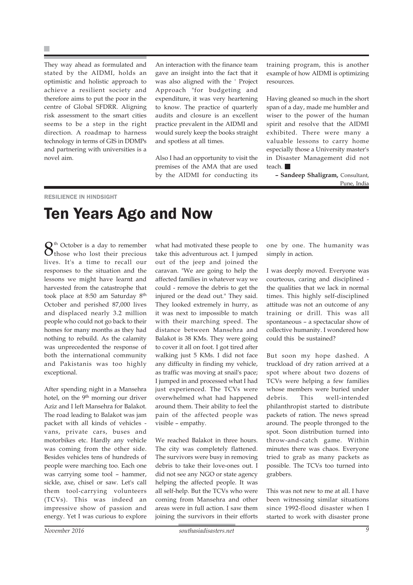They way ahead as formulated and stated by the AIDMI, holds an optimistic and holistic approach to achieve a resilient society and therefore aims to put the poor in the centre of Global SFDRR. Aligning risk assessment to the smart cities seems to be a step in the right direction. A roadmap to harness technology in terms of GIS in DDMPs and partnering with universities is a novel aim.

An interaction with the finance team gave an insight into the fact that it was also aligned with the ' Project Approach "for budgeting and expenditure, it was very heartening to know. The practice of quarterly audits and closure is an excellent practice prevalent in the AIDMI and would surely keep the books straight and spotless at all times.

Also I had an opportunity to visit the premises of the AMA that are used by the AIDMI for conducting its training program, this is another example of how AIDMI is optimizing resources.

Having gleaned so much in the short span of a day, made me humbler and wiser to the power of the human spirit and resolve that the AIDMI exhibited. There were many a valuable lessons to carry home especially those a University master's in Disaster Management did not teach.

**– Sandeep Shaligram,** Consultant, Pune, India

#### RESILIENCE IN HINDSIGHT

### Ten Years Ago and Now

 $\mathbf{S}^{\text{th}}$  October is a day to remember those who lost their precious lives. It's a time to recall our responses to the situation and the lessons we might have learnt and harvested from the catastrophe that took place at 8:50 am Saturday 8th October and perished 87,000 lives and displaced nearly 3.2 million people who could not go back to their homes for many months as they had nothing to rebuild. As the calamity was unprecedented the response of both the international community and Pakistanis was too highly exceptional.

After spending night in a Mansehra hotel, on the 9<sup>th</sup> morning our driver Aziz and I left Mansehra for Balakot. The road leading to Balakot was jam packet with all kinds of vehicles vans, private cars, buses and motorbikes etc. Hardly any vehicle was coming from the other side. Besides vehicles tens of hundreds of people were marching too. Each one was carrying some tool – hammer, sickle, axe, chisel or saw. Let's call them tool-carrying volunteers (TCVs). This was indeed an impressive show of passion and energy. Yet I was curious to explore what had motivated these people to take this adventurous act. I jumped out of the jeep and joined the caravan. "We are going to help the affected families in whatever way we could - remove the debris to get the injured or the dead out." They said. They looked extremely in hurry, as it was next to impossible to match with their marching speed. The distance between Mansehra and Balakot is 38 KMs. They were going to cover it all on foot. I got tired after walking just 5 KMs. I did not face any difficulty in finding my vehicle, as traffic was moving at snail's pace; I jumped in and processed what I had just experienced. The TCVs were overwhelmed what had happened around them. Their ability to feel the pain of the affected people was visible – empathy.

We reached Balakot in three hours. The city was completely flattened. The survivors were busy in removing debris to take their love-ones out. I did not see any NGO or state agency helping the affected people. It was all self-help. But the TCVs who were coming from Mansehra and other areas were in full action. I saw them joining the survivors in their efforts

one by one. The humanity was simply in action.

I was deeply moved. Everyone was courteous, caring and disciplined the qualities that we lack in normal times. This highly self-disciplined attitude was not an outcome of any training or drill. This was all spontaneous – a spectacular show of collective humanity. I wondered how could this be sustained?

But soon my hope dashed. A truckload of dry ration arrived at a spot where about two dozens of TCVs were helping a few families whose members were buried under debris. This well-intended philanthropist started to distribute packets of ration. The news spread around. The people thronged to the spot. Soon distribution turned into throw-and-catch game. Within minutes there was chaos. Everyone tried to grab as many packets as possible. The TCVs too turned into grabbers.

This was not new to me at all. I have been witnessing similar situations since 1992-flood disaster when I started to work with disaster prone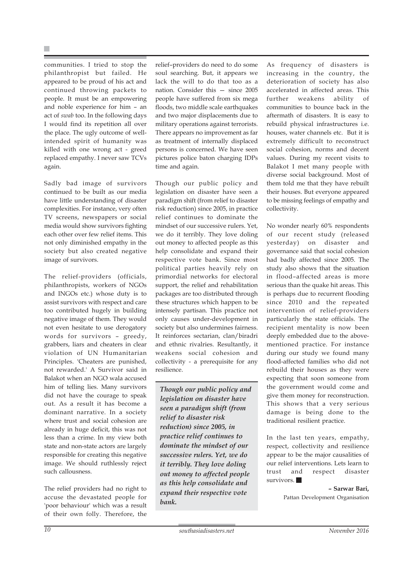communities. I tried to stop the philanthropist but failed. He appeared to be proud of his act and continued throwing packets to people. It must be an empowering and noble experience for him – an act of *swab* too. In the following days I would find its repetition all over the place. The ugly outcome of wellintended spirit of humanity was killed with one wrong act - greed replaced empathy. I never saw TCVs again.

Sadly bad image of survivors continued to be built as our media have little understanding of disaster complexities. For instance, very often TV screens, newspapers or social media would show survivors fighting each other over few relief items. This not only diminished empathy in the society but also created negative image of survivors.

The relief-providers (officials, philanthropists, workers of NGOs and INGOs etc.) whose duty is to assist survivors with respect and care too contributed hugely in building negative image of them. They would not even hesitate to use derogatory words for survivors – greedy, grabbers, liars and cheaters in clear violation of UN Humanitarian Principles. 'Cheaters are punished, not rewarded.' A Survivor said in Balakot when an NGO wala accused him of telling lies. Many survivors did not have the courage to speak out. As a result it has become a dominant narrative. In a society where trust and social cohesion are already in huge deficit, this was not less than a crime. In my view both state and non-state actors are largely responsible for creating this negative image. We should ruthlessly reject such callousness.

The relief providers had no right to accuse the devastated people for 'poor behaviour' which was a result of their own folly. Therefore, the relief–providers do need to do some soul searching. But, it appears we lack the will to do that too as a nation. Consider this — since 2005 people have suffered from six mega floods, two middle scale earthquakes and two major displacements due to military operations against terrorists. There appears no improvement as far as treatment of internally displaced persons is concerned. We have seen pictures police baton charging IDPs time and again.

Though our public policy and legislation on disaster have seen a paradigm shift (from relief to disaster risk reduction) since 2005, in practice relief continues to dominate the mindset of our successive rulers. Yet, we do it terribly. They love doling out money to affected people as this help consolidate and expand their respective vote bank. Since most political parties heavily rely on primordial networks for electoral support, the relief and rehabilitation packages are too distributed through these structures which happen to be intensely partisan. This practice not only causes under-development in society but also undermines fairness. It reinforces sectarian, clan/biradri and ethnic rivalries. Resultantly, it weakens social cohesion and collectivity - a prerequisite for any resilience.

*Though our public policy and legislation on disaster have seen a paradigm shift (from relief to disaster risk reduction) since 2005, in practice relief continues to dominate the mindset of our successive rulers. Yet, we do it terribly. They love doling out money to affected people as this help consolidate and expand their respective vote bank.*

As frequency of disasters is increasing in the country, the deterioration of society has also accelerated in affected areas. This further weakens ability of communities to bounce back in the aftermath of disasters. It is easy to rebuild physical infrastructures i.e. houses, water channels etc. But it is extremely difficult to reconstruct social cohesion, norms and decent values. During my recent visits to Balakot I met many people with diverse social background. Most of them told me that they have rebuilt their houses. But everyone appeared to be missing feelings of empathy and collectivity.

No wonder nearly 60% respondents of our recent study (released yesterday) on disaster and governance said that social cohesion had badly affected since 2005. The study also shows that the situation in flood–affected areas is more serious than the quake hit areas. This is perhaps due to recurrent flooding since 2010 and the repeated intervention of relief-providers particularly the state officials. The recipient mentality is now been deeply embedded due to the abovementioned practice. For instance during our study we found many flood-affected families who did not rebuild their houses as they were expecting that soon someone from the government would come and give them money for reconstruction. This shows that a very serious damage is being done to the traditional resilient practice.

In the last ten years, empathy, respect, collectivity and resilience appear to be the major causalities of our relief interventions. Lets learn to trust and respect disaster survivors.

> **– Sarwar Bari,** Pattan Development Organisation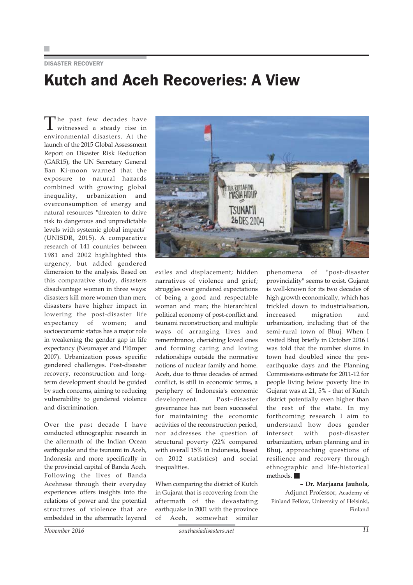#### DISASTER RECOVERY

### Kutch and Aceh Recoveries: A View

The past few decades have witnessed a steady rise in environmental disasters. At the launch of the 2015 Global Assessment Report on Disaster Risk Reduction (GAR15), the UN Secretary General Ban Ki-moon warned that the exposure to natural hazards combined with growing global inequality, urbanization and overconsumption of energy and natural resources "threaten to drive risk to dangerous and unpredictable levels with systemic global impacts" (UNISDR, 2015). A comparative research of 141 countries between 1981 and 2002 highlighted this urgency, but added gendered dimension to the analysis. Based on this comparative study, disasters disadvantage women in three ways: disasters kill more women than men; disasters have higher impact in lowering the post-disaster life expectancy of women; and socioeconomic status has a major role in weakening the gender gap in life expectancy (Neumayer and Plümper 2007). Urbanization poses specific gendered challenges. Post-disaster recovery, reconstruction and longterm development should be guided by such concerns, aiming to reducing vulnerability to gendered violence and discrimination.

Over the past decade I have conducted ethnographic research in the aftermath of the Indian Ocean earthquake and the tsunami in Aceh, Indonesia and more specifically in the provincial capital of Banda Aceh. Following the lives of Banda Acehnese through their everyday experiences offers insights into the relations of power and the potential structures of violence that are embedded in the aftermath: layered



exiles and displacement; hidden narratives of violence and grief; struggles over gendered expectations of being a good and respectable woman and man; the hierarchical political economy of post-conflict and tsunami reconstruction; and multiple ways of arranging lives and remembrance, cherishing loved ones and forming caring and loving relationships outside the normative notions of nuclear family and home. Aceh, due to three decades of armed conflict, is still in economic terms, a periphery of Indonesia's economic development. Post–disaster governance has not been successful for maintaining the economic activities of the reconstruction period, nor addresses the question of structural poverty (22% compared with overall 15% in Indonesia, based on 2012 statistics) and social inequalities.

When comparing the district of Kutch in Gujarat that is recovering from the aftermath of the devastating earthquake in 2001 with the province of Aceh, somewhat similar

phenomena of "post-disaster provinciality" seems to exist. Gujarat is well-known for its two decades of high growth economically, which has trickled down to industrialisation, increased migration and urbanization, including that of the semi-rural town of Bhuj. When I visited Bhuj briefly in October 2016 I was told that the number slums in town had doubled since the preearthquake days and the Planning Commissions estimate for 2011-12 for people living below poverty line in Gujarat was at 21, 5% - that of Kutch district potentially even higher than the rest of the state. In my forthcoming research I aim to understand how does gender intersect with post-disaster urbanization, urban planning and in Bhuj, approaching questions of resilience and recovery through ethnographic and life-historical methods.

#### **– Dr. Marjaana Jauhola,**

Adjunct Professor, Academy of Finland Fellow, University of Helsinki, Finland